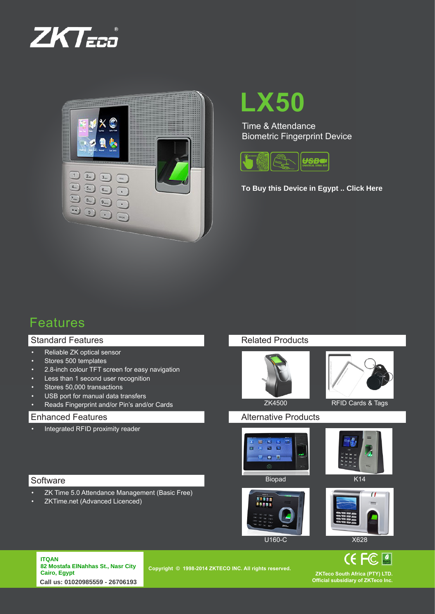



# **LX50**

Time & Attendance Biometric Fingerprint Device



**[To Buy this Device in Egypt .. Click Here](http://www.itqanbs.com/product/fingerprint-ZK-Software-LX50.html)**

## Features

### Standard Features

- • Reliable ZK optical sensor
- • Stores 500 templates
- • 2.8-inch colour TFT screen for easy navigation
- Less than 1 second user recognition
- Stores 50,000 transactions
- USB port for manual data transfers
- • Reads Fingerprint and/or Pin's and/or Cards

#### Enhanced Features

Integrated RFID proximity reader

#### Related Products



![](_page_0_Picture_19.jpeg)

#### Alternative Products

![](_page_0_Picture_23.jpeg)

![](_page_0_Picture_24.jpeg)

### **Software**

**ITQAN**

- • ZK Time 5.0 Attendance Management (Basic Free)
- ZKTime.net (Advanced Licenced)

![](_page_0_Picture_28.jpeg)

![](_page_0_Picture_29.jpeg)

![](_page_0_Picture_30.jpeg)

![](_page_0_Picture_31.jpeg)

**CE FC** 

ITQAN<br>82 Mostafa ElNahhas St., Nasr City **Cairo, Egypt** Email: info@zkteco.co.za www.zkteco.co.za **Call us: 01020985559 - 26706193**

**Copyright © 1998-2014 ZKTECO INC. All rights reserved.** 

**ZKTeco South Africa (PTY) LTD. Official subsidiary of ZKTeco Inc.**